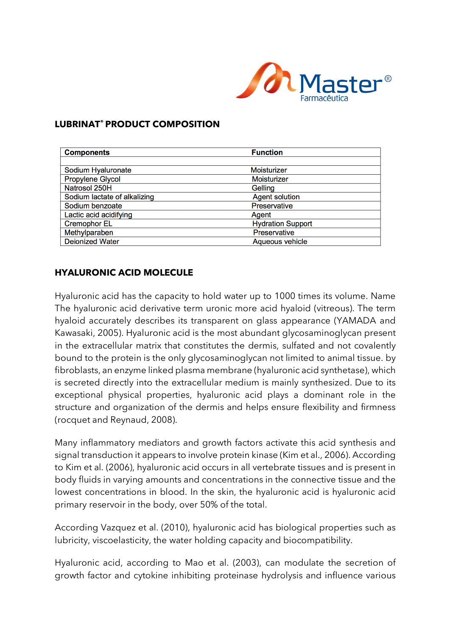

## **LUBRINAT® PRODUCT COMPOSITION**

| <b>Components</b>            | <b>Function</b>          |
|------------------------------|--------------------------|
|                              |                          |
| Sodium Hyaluronate           | Moisturizer              |
| Propylene Glycol             | Moisturizer              |
| Natrosol 250H                | Gelling                  |
| Sodium lactate of alkalizing | <b>Agent solution</b>    |
| Sodium benzoate              | Preservative             |
| Lactic acid acidifying       | Agent                    |
| <b>Cremophor EL</b>          | <b>Hydration Support</b> |
| Methylparaben                | Preservative             |
| <b>Deionized Water</b>       | Aqueous vehicle          |

## **HYALURONIC ACID MOLECULE**

Hyaluronic acid has the capacity to hold water up to 1000 times its volume. Name The hyaluronic acid derivative term uronic more acid hyaloid (vitreous). The term hyaloid accurately describes its transparent on glass appearance (YAMADA and Kawasaki, 2005). Hyaluronic acid is the most abundant glycosaminoglycan present in the extracellular matrix that constitutes the dermis, sulfated and not covalently bound to the protein is the only glycosaminoglycan not limited to animal tissue. by fibroblasts, an enzyme linked plasma membrane (hyaluronic acid synthetase), which is secreted directly into the extracellular medium is mainly synthesized. Due to its exceptional physical properties, hyaluronic acid plays a dominant role in the structure and organization of the dermis and helps ensure flexibility and firmness (rocquet and Reynaud, 2008).

Many inflammatory mediators and growth factors activate this acid synthesis and signal transduction it appears to involve protein kinase (Kim et al., 2006). According to Kim et al. (2006), hyaluronic acid occurs in all vertebrate tissues and is present in body fluids in varying amounts and concentrations in the connective tissue and the lowest concentrations in blood. In the skin, the hyaluronic acid is hyaluronic acid primary reservoir in the body, over 50% of the total.

According Vazquez et al. (2010), hyaluronic acid has biological properties such as lubricity, viscoelasticity, the water holding capacity and biocompatibility.

Hyaluronic acid, according to Mao et al. (2003), can modulate the secretion of growth factor and cytokine inhibiting proteinase hydrolysis and influence various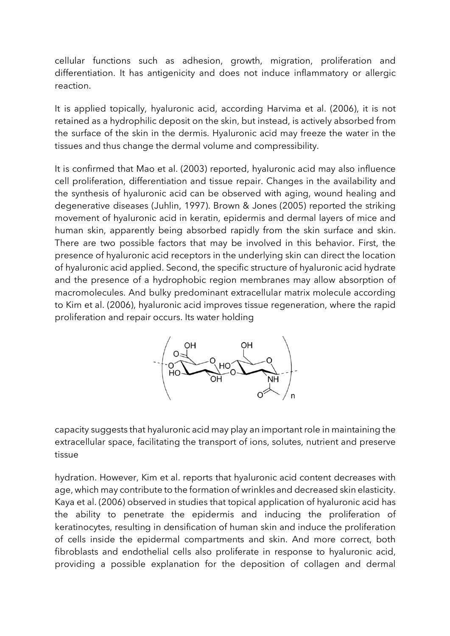cellular functions such as adhesion, growth, migration, proliferation and differentiation. It has antigenicity and does not induce inflammatory or allergic reaction.

It is applied topically, hyaluronic acid, according Harvima et al. (2006), it is not retained as a hydrophilic deposit on the skin, but instead, is actively absorbed from the surface of the skin in the dermis. Hyaluronic acid may freeze the water in the tissues and thus change the dermal volume and compressibility.

It is confirmed that Mao et al. (2003) reported, hyaluronic acid may also influence cell proliferation, differentiation and tissue repair. Changes in the availability and the synthesis of hyaluronic acid can be observed with aging, wound healing and degenerative diseases (Juhlin, 1997). Brown & Jones (2005) reported the striking movement of hyaluronic acid in keratin, epidermis and dermal layers of mice and human skin, apparently being absorbed rapidly from the skin surface and skin. There are two possible factors that may be involved in this behavior. First, the presence of hyaluronic acid receptors in the underlying skin can direct the location of hyaluronic acid applied. Second, the specific structure of hyaluronic acid hydrate and the presence of a hydrophobic region membranes may allow absorption of macromolecules. And bulky predominant extracellular matrix molecule according to Kim et al. (2006), hyaluronic acid improves tissue regeneration, where the rapid proliferation and repair occurs. Its water holding



capacity suggests that hyaluronic acid may play an important role in maintaining the extracellular space, facilitating the transport of ions, solutes, nutrient and preserve tissue

hydration. However, Kim et al. reports that hyaluronic acid content decreases with age, which may contribute to the formation of wrinkles and decreased skin elasticity. Kaya et al. (2006) observed in studies that topical application of hyaluronic acid has the ability to penetrate the epidermis and inducing the proliferation of keratinocytes, resulting in densification of human skin and induce the proliferation of cells inside the epidermal compartments and skin. And more correct, both fibroblasts and endothelial cells also proliferate in response to hyaluronic acid, providing a possible explanation for the deposition of collagen and dermal